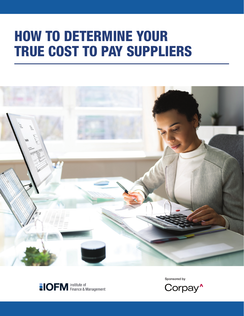# HOW TO DETERMINE YOUR TRUE COST TO PAY SUPPLIERS





Sponsored by

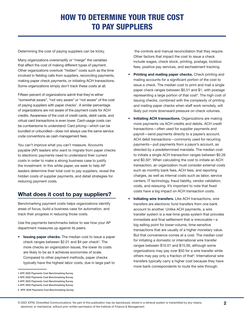Determining the cost of paying suppliers can be tricky.

Many organizations oversimplify or "merge" the variables that affect the cost of making different types of payment. Other organizations overlook "hidden" costs such as the time involved in fielding calls from suppliers, reconciling payments, making paper check payments, or initiating ACH transactions. Some organizations simply don't track these costs at all.

Fifteen percent of organizations admit that they're either "somewhat aware", "not very aware" or "not aware" of the cost of paying suppliers with paper checks<sup>1</sup>. A similar percentage of organizations are not aware of the payment costs for ACH credits. Awareness of the cost of credit cards, debit cards, and virtual card transactions is even lower. Card-usage costs can be cumbersome to understand. Card pricing—which can be bundled or unbundled—does not always use the same service code conventions as cash management fees.

You can't improve what you can't measure. Accounts payable (AP) leaders who want to migrate from paper checks to electronic payments need to understand their current costs in order to make a strong business case to justify the investment. In this white paper, we seek to help AP leaders determine their total cost to pay suppliers, reveal the hidden costs of supplier payments, and detail strategies for reducing payment costs.

## What does it cost to pay suppliers?

Benchmarking payment costs helps organizations identify areas of focus, build a business case for automation, and track their progress in reducing those costs.

Use the payments benchmarks below to see how your AP department measures up against its peers.

**Issuing paper checks.** The median cost to issue a paper check ranges between  $$2.01$  and  $$4$  per check<sup>2</sup>. The more checks an organization issues, the lower its costs are likely to be as it achieves economies of scale. Compared to other payment methods, paper checks typically have the highest labor costs, due in large part to

3 AFP, 2022 Payments Cost Benchmarking Survey

 the controls and manual reconciliation that they require. Other factors that impact the cost to issue a check include wages, check stock, printing, postage, lockbox fees, positive pay services, and escheatment tracking.

- Printing and mailing paper checks. Check printing and mailing accounts for a significant portion of the cost to issue a check. The median cost to print and mail a single paper check ranges between \$0.51 and \$1, with postage representing a large portion of that cost<sup>3</sup>. The high cost of issuing checks, combined with the complexity of printing and mailing paper checks when staff work remotely, will likely put more downward pressure on check volumes.
- Initiating ACH transactions. Organizations are making more payments via ACH credits and debits. ACH credit transactions—often used for supplier payments and payroll—send payments directly to a payee's account. ACH debit transactions—commonly used for recurring payments—pull payments from a payor's account, as directed by a predetermined mandate. The median cost to initiate a single ACH transaction ranges between \$0.26 and \$0.504 . When calculating the cost to initiate an ACH transaction, an organization must consider external costs such as monthly bank fees, ACH fees, and reporting charges, as well as internal costs such as labor, service centers, IT technology, fraud liability, vendor validation, voids, and reissuing. It's important to note that fixed costs have a big impact on ACH transaction costs.
- **Initiating wire transfers.** Like ACH transactions, wire transfers are electronic fund transfers from one bank account to another. Unlike ACH payments, a wire transfer system is a real-time gross system that provides immediate and final settlement that is irrevocable—a big selling point for lower-volume, time-sensitive transactions that are usually of a higher monetary value. But that convenience comes at a cost. The median cost for initiating a domestic or international wire transfer ranges between \$10.01 and \$15.00, although some organizations may pay over \$50 for a wire transfer while others may pay only a fraction of that<sup>5</sup>. International wire transfers typically carry a higher cost because they have more bank correspondents to route the wire through.

<sup>1</sup> AFP, 2022 Payments Cost Benchmarking Survey

<sup>2</sup> AFP, 2022 Payments Cost Benchmarking Survey

<sup>4</sup> AFP, 2022 Payments Cost Benchmarking Survey

<sup>5</sup> AFP, 2022 Payments Cost Benchmarking Survey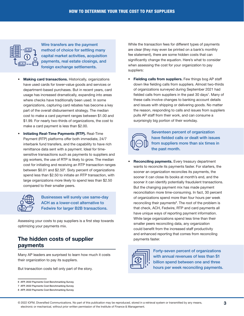

Wire transfers are the payment method of choice for settling many capital market activities, acquisition payments, real estate closings, and foreign exchange settlements.

- Making card transactions. Historically, organizations have used cards for lower-value goods and services or department-based purchases. But in recent years, card usage has increased dramatically, expanding into areas where checks have traditionally been used. In some organizations, capturing card rebates has become a key part of the overall disbursement strategy. The median cost to make a card payment ranges between \$1.00 and \$1.99. For nearly two-thirds of organizations, the cost to make a card payment is less than \$2.00.
- Initiating Real-Time Payments (RTP). Real-Time Payment (RTP) platforms offer both immediate, 24/7 interbank fund transfers, and the capability to have rich remittance data sent with a payment. Ideal for timesensitive transactions such as payments to suppliers and gig workers, the use of RTP is likely to grow. The median cost for initiating and receiving an RTP transaction ranges between \$0.01 and \$2.50<sup>6</sup>. Sixty percent of organizations spend less than \$2.50 to initiate an RTP transaction, with large organizations more likely to spend less than \$2.50 compared to their smaller peers.



Businesses will surely use same-day ACH as a lower-cost alternative to Fedwire for larger B2B transactions.

Assessing your costs to pay suppliers is a first step towards optimizing your payments mix.

## The hidden costs of supplier payments

Many AP leaders are surprised to learn how much it costs their organization to pay its suppliers.

But transaction costs tell only part of the story.

While the transaction fees for different types of payments are clear (they may even be printed on a bank's monthly fee statement), there are some hidden costs that can significantly change the equation. Here's what to consider when assessing the cost for your organization to pay suppliers:

• Fielding calls from suppliers. Few things bog AP staff down like fielding calls from suppliers. Almost two-thirds of organizations surveyed during September 2021 had fielded calls from suppliers in the past 30 days<sup>7</sup>. Many of these calls involve changes to banking account details and issues with shipping or delivering goods. No matter the reason, responding to calls and issues from suppliers pulls AP staff from their work, and can consume a surprisingly big portion of their workday.



Seventeen percent of organization have fielded calls or dealt with issues from suppliers more than six times in the past month.

**Reconciling payments.** Every treasury department wants to reconcile its payments faster. For starters, the sooner an organization reconciles its payments, the sooner it can close its books at month's end, and the sooner it can identify potentially fraudulent transactions. But the changing payment mix has made payment reconciliation more time-consuming. In fact, 30 percent of organizations spend more than four hours per week reconciling their payments<sup>8</sup>. The root of the problem is that check, ACH, Fedwire, RTP and card payments all have unique ways of reporting payment information. While large organizations spend less time than their smaller peers reconciling data, any organization could benefit from the increased staff productivity and enhanced reporting that comes from reconciling payments faster.



Forty-seven percent of organizations with annual revenues of less than \$1 billion spend between one and three hours per week reconciling payments.

<sup>6</sup> AFP, 2022 Payments Cost Benchmarking Survey

<sup>7</sup> AFP, 2022 Payments Cost Benchmarking Survey

<sup>8</sup> AFP, 2022 Payments Cost Benchmarking Survey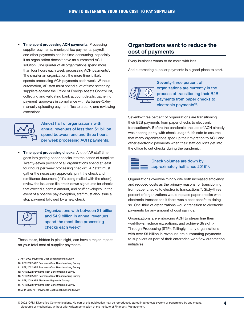• Time spent processing ACH payments. Processing supplier payments, municipal tax payments, payroll, and other payments can be time-consuming, especially if an organization doesn't have an automated ACH solution. One quarter of all organizations spend more than four hours each week processing ACH payments<sup>9</sup>. The smaller an organization, the more time it likely spends processing ACH payments each week. Without automation, AP staff must spend a lot of time screening suppliers against the Office of Foreign Assets Control list, collecting and validating bank account details, gathering payment approvals in compliance with Sarbanes-Oxley, manually uploading payment files to a bank, and reviewing exceptions.



Almost half of organizations with annual revenues of less than \$1 billion spend between one and three hours per week processing ACH payments.

**Time spent processing checks.** A lot of AP staff time goes into getting paper checks into the hands of suppliers. Twenty-seven percent of all organizations spend at least four hours per week processing checks<sup>10</sup>. AP staff must gather the necessary approvals, print the check and remittance document (if it's being mailed with the check), review the issuance file, track down signatures for checks that exceed a certain amount, and stuff envelopes. In the event of a positive pay exception, staff must also issue a stop payment followed by a new check.



Organizations with between \$1 billion and \$4.9 billion in annual revenues spend the most time processing checks each week11.

These tasks, hidden in plain sight, can have a major impact on your total cost of supplier payments.

## Organizations want to reduce the cost of payments

Every business wants to do more with less.

And automating supplier payments is a good place to start.



Seventy-three percent of organizations are currently in the process of transitioning their B2B payments from paper checks to electronic payments<sup>12</sup>.

Seventy-three percent of organizations are transitioning their B2B payments from paper checks to electronic transactions<sup>13</sup>. Before the pandemic, the use of ACH already was nearing parity with check usage<sup>14</sup>. It's safe to assume that many organizations sped up their migration to ACH and other electronic payments when their staff couldn't get into the office to cut checks during the pandemic.



#### Check volumes are down by approximately half since 201515.

Organizations overwhelmingly cite both increased efficiency and reduced costs as the primary reasons for transitioning from paper checks to electronic transactions<sup>16</sup>. Sixty-three percent of organizations would replace paper checks with electronic transactions if there was a cost benefit to doing so. One-third of organizations would transition to electronic payments for any amount of cost savings.

Organizations are embracing ACH to streamline their workflows, reduce exceptions, and achieve Straight-Through Processing (STP). Tellingly, many organizations with over \$5 billion in revenues are automating payments to suppliers as part of their enterprise workflow automation initiatives.

<sup>9</sup> AFP, 2022 Payments Cost Benchmarking Survey

<sup>10</sup> AFP, 2022 AFP Payments Cost Benchmarking Survey

<sup>11</sup> AFP, 2022 AFP Payments Cost Benchmarking Survey

<sup>12</sup> AFP, 2022 Payments Cost Benchmarking Survey 13 AFP, 2022 AFP Payments Cost Benchmarking Survey

<sup>14</sup> AFP, 2019 AFP Electronic Payments Survey

<sup>15</sup> AFP, 2022 Payments Cost Benchmarking Survey

<sup>16</sup> AFP, 2022 AFP Payments Cost Benchmarking Survey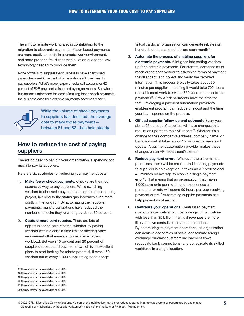The shift to remote working also is contributing to the migration to electronic payments. Paper-based payments are more costly to justify in a remote-work environment, and more prone to fraudulent manipulation due to the low technology needed to produce them.

None of this is to suggest that businesses have abandoned paper checks—86 percent of organizations still use them to pay suppliers. What's more, paper checks still account for 42 percent of B2B payments disbursed by organizations. But when businesses understand the cost of making those check payments, the business case for electronic payments becomes clearer.



While the volume of check payments to suppliers has declined, the average cost to make those payments between \$1 and \$2—has held steady.

## How to reduce the cost of paying suppliers

There's no need to panic if your organization is spending too much to pay its suppliers.

Here are six strategies for reducing your payment costs.

- 1. Make fewer check payments. Checks are the most expensive way to pay suppliers. While switching vendors to electronic payment can be a time-consuming project, keeping to the status quo becomes even more costly in the long run. By automating their supplier payments, many organizations have reduced the number of checks they're writing by about 70 percent.
- 2. Capture more card rebates. There are lots of opportunities to earn rebates, whether by paying vendors within a certain time limit or meeting other requirements that ease a supplier's receivables workload. Between 15 percent and 20 percent of suppliers accept card payments<sup>17</sup>, which is an excellent place to start looking for rebate potential. If even 150 vendors out of every 1,000 suppliers agree to accept

- 18 Corpay internal data analytics as of 2022
- 19 Corpay internal data analytics as of 2022 20 Corpay internal data analytics as of 2022
- 21 Corpay internal data analytics as of 2022

virtual cards, an organization can generate rebates on hundreds of thousands of dollars each month<sup>18</sup>.

- 3. Automate the process of enabling suppliers for electronic payments. A lot goes into setting vendors up for electronic payments. For starters, someone must reach out to each vendor to ask which forms of payment they'll accept, and collect and verify the provided information. This process typically takes about 30 minutes per supplier—meaning it would take 700 hours of enablement work to switch 350 vendors to electronic payments19. Few AP departments have the time for that. Leveraging a payment automation provider's enablement program can reduce this cost and the time your team spends on the process.
- 4. Offload supplier follow-up and outreach. Every year, about 25 percent of suppliers will have changes that require an update to their AP record<sup>20</sup>. Whether it's a change to their company's address, company name, or bank account, it takes about 15 minutes to make each update. A payment automation provider makes these changes on an AP department's behalf.
- 5. Reduce payment errors. Wherever there are manual processes, there will be errors—and initiating payments to suppliers is no exception. It takes an AP professional 45 minutes on average to resolve a single payment error<sup>21</sup>. That means that an organization that makes 1,000 payments per month and experiences a 1 percent error rate will spend 90 hours per year resolving payment errors<sup>22</sup>. Automating supplier payments can help prevent most errors.
- 6. Centralize your operations. Centralized payment operations can deliver big cost savings. Organizations with less than \$5 billion in annual revenues are more likely to have centralized payment operations. By centralizing its payment operations, an organization can achieve economies of scale, consolidate foreign exchange purchases, streamline payment flows, reduce its bank connections, and consolidate its skilled workforce in a single location.

<sup>17</sup> Corpay internal data analytics as of 2022

<sup>22</sup> Corpay internal data analytics as of 2022

<sup>©</sup> 2022 IOFM, Diversified Communications. No part of this publication may be reproduced, stored in a retrieval system or transmitted by any means, electronic or mechanical, without prior written permission of the Institute of Finance & Management.